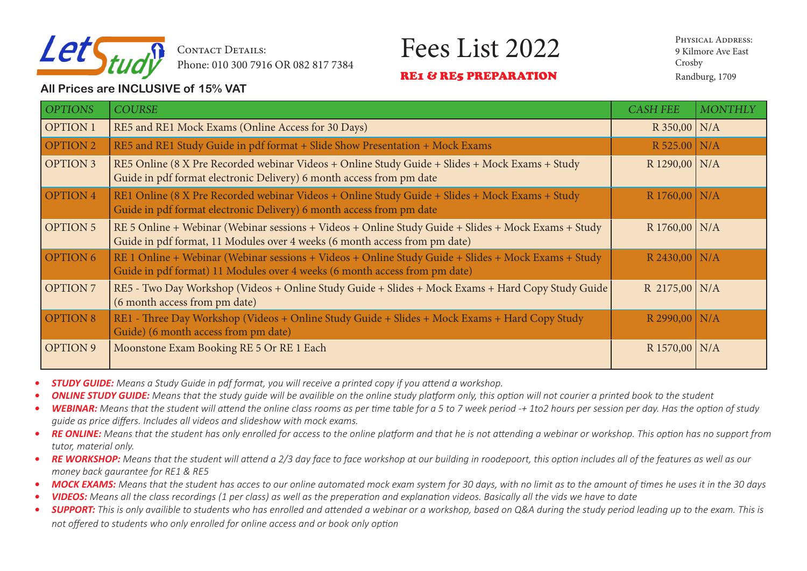

Phone: 010 300 7916 OR 082 817 7384

## CONTACT DETAILS: Fees List 2022

#### RE1 & RE5 PREPARATION

Physical Address: 9 Kilmore Ave East Crosby Randburg, 1709

### **All Prices are INCLUSIVE of 15% VAT**

| <b>OPTIONS</b>  | <b>COURSE</b>                                                                                                                                                                     | <b>CASH FEE</b>   | <b>MONTHLY</b> |
|-----------------|-----------------------------------------------------------------------------------------------------------------------------------------------------------------------------------|-------------------|----------------|
| <b>OPTION 1</b> | RE5 and RE1 Mock Exams (Online Access for 30 Days)                                                                                                                                | R 350,00 N/A      |                |
| <b>OPTION 2</b> | RE5 and RE1 Study Guide in pdf format + Slide Show Presentation + Mock Exams                                                                                                      | R 525.00 N/A      |                |
| <b>OPTION 3</b> | RE5 Online (8 X Pre Recorded webinar Videos + Online Study Guide + Slides + Mock Exams + Study<br>Guide in pdf format electronic Delivery) 6 month access from pm date            | R 1290,00   N/A   |                |
| <b>OPTION 4</b> | RE1 Online (8 X Pre Recorded webinar Videos + Online Study Guide + Slides + Mock Exams + Study<br>Guide in pdf format electronic Delivery) 6 month access from pm date            | $R$ 1760,00 $N/A$ |                |
| <b>OPTION 5</b> | RE 5 Online + Webinar (Webinar sessions + Videos + Online Study Guide + Slides + Mock Exams + Study<br>Guide in pdf format, 11 Modules over 4 weeks (6 month access from pm date) | R 1760,00 N/A     |                |
| <b>OPTION 6</b> | RE 1 Online + Webinar (Webinar sessions + Videos + Online Study Guide + Slides + Mock Exams + Study<br>Guide in pdf format) 11 Modules over 4 weeks (6 month access from pm date) | $R$ 2430,00   N/A |                |
| <b>OPTION 7</b> | RE5 - Two Day Workshop (Videos + Online Study Guide + Slides + Mock Exams + Hard Copy Study Guide<br>(6 month access from pm date)                                                | R 2175,00 N/A     |                |
| <b>OPTION 8</b> | RE1 - Three Day Workshop (Videos + Online Study Guide + Slides + Mock Exams + Hard Copy Study<br>Guide) (6 month access from pm date)                                             | $R$ 2990,00   N/A |                |
| <b>OPTION 9</b> | Moonstone Exam Booking RE 5 Or RE 1 Each                                                                                                                                          | $R$ 1570,00 $N/A$ |                |

*• STUDY GUIDE: Means a Study Guide in pdf format, you will receive a printed copy if you attend a workshop.*

*• ONLINE STUDY GUIDE: Means that the study guide will be availible on the online study platform only, this option will not courier a printed book to the student*

- *WEBINAR: Means that the student will attend the online class rooms as per time table for a 5 to 7 week period -+ 1to2 hours per session per day. Has the option of study guide as price differs. Includes all videos and slideshow with mock exams.*
- **RE ONLINE:** Means that the student has only enrolled for access to the online platform and that he is not attending a webinar or workshop. This option has no support from *tutor, material only.*
- **RE WORKSHOP:** Means that the student will attend a 2/3 day face to face workshop at our building in roodepoort, this option includes all of the features as well as our *money back gaurantee for RE1 & RE5*
- *• MOCK EXAMS: Means that the student has acces to our online automated mock exam system for 30 days, with no limit as to the amount of times he uses it in the 30 days*
- *• VIDEOS: Means all the class recordings (1 per class) as well as the preperation and explanation videos. Basically all the vids we have to date*
- *SUPPORT:* This is only availible to students who has enrolled and attended a webinar or a workshop, based on Q&A during the study period leading up to the exam. This is *not offered to students who only enrolled for online access and or book only option*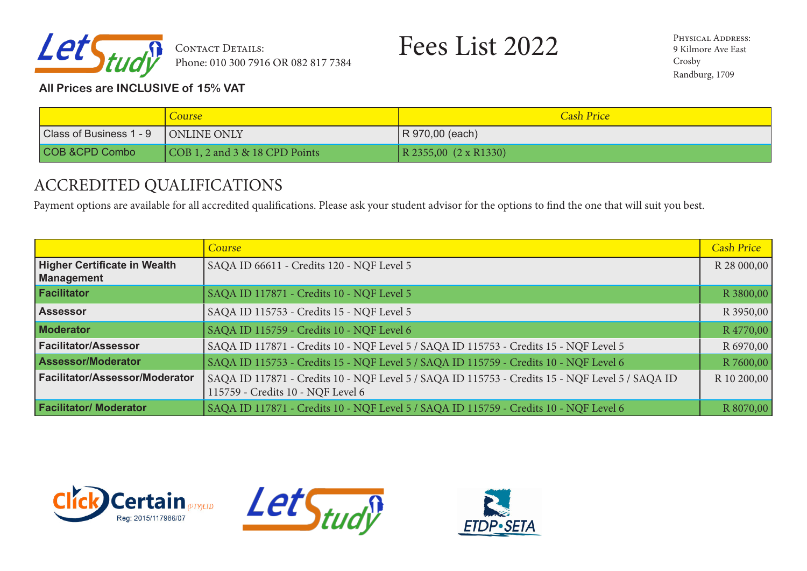

Phone: 010 300 7916 OR 082 817 7384

# CONTACT DETAILS: Fees List 2022

**All Prices are INCLUSIVE of 15% VAT**

|                         | Course                         | <b>Cash Price</b>                    |
|-------------------------|--------------------------------|--------------------------------------|
| Class of Business 1 - 9 | <b>CONLINE ONLY</b>            | R 970,00 (each)                      |
| COB & CPD Combo         | COB 1, 2 and 3 & 18 CPD Points | $\vert$ R 2355,00 $(2 \times R1330)$ |

### ACCREDITED QUALIFICATIONS

Payment options are available for all accredited qualifications. Please ask your student advisor for the options to find the one that will suit you best.

|                                                          | Course                                                                                          | <b>Cash Price</b> |
|----------------------------------------------------------|-------------------------------------------------------------------------------------------------|-------------------|
| <b>Higher Certificate in Wealth</b><br><b>Management</b> | SAQA ID 66611 - Credits 120 - NQF Level 5                                                       | R 28 000,00       |
| Facilitator                                              | SAQA ID 117871 - Credits 10 - NQF Level 5                                                       | R 3800,00         |
| <b>Assessor</b>                                          | SAQA ID 115753 - Credits 15 - NQF Level 5                                                       | R 3950,00         |
| Moderator                                                | SAQA ID 115759 - Credits 10 - NQF Level 6                                                       | R 4770,00         |
| <b>Facilitator/Assessor</b>                              | SAQA ID 117871 - Credits 10 - NQF Level 5 / SAQA ID 115753 - Credits 15 - NQF Level 5           | R 6970,00         |
| <b>Assessor/Moderator</b>                                | SAQA ID 115753 - Credits 15 - NQF Level 5 / SAQA ID 115759 - Credits 10 - NQF Level 6           | R 7600,00         |
| Facilitator/Assessor/Moderator                           | SAQA ID 117871 - Credits 10 - NQF Level 5 / SAQA ID 115753 - Credits 15 - NQF Level 5 / SAQA ID | R 10 200,00       |
|                                                          | 115759 - Credits 10 - NQF Level 6                                                               |                   |
| <b>Facilitator/ Moderator</b>                            | SAQA ID 117871 - Credits 10 - NQF Level 5 / SAQA ID 115759 - Credits 10 - NQF Level 6           | R 8070,00         |